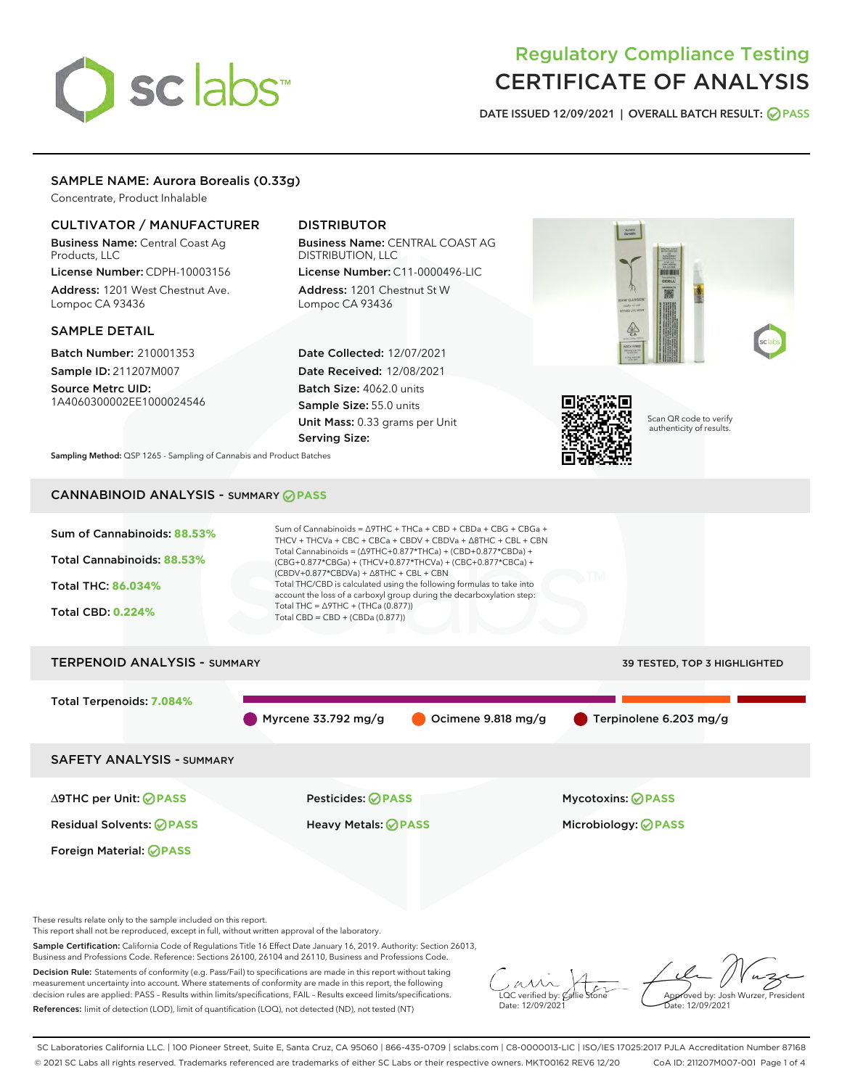# sclabs

# Regulatory Compliance Testing CERTIFICATE OF ANALYSIS

DATE ISSUED 12/09/2021 | OVERALL BATCH RESULT: @ PASS

# SAMPLE NAME: Aurora Borealis (0.33g)

Concentrate, Product Inhalable

# CULTIVATOR / MANUFACTURER

Business Name: Central Coast Ag Products, LLC

License Number: CDPH-10003156 Address: 1201 West Chestnut Ave. Lompoc CA 93436

# SAMPLE DETAIL

Batch Number: 210001353 Sample ID: 211207M007

Source Metrc UID: 1A4060300002EE1000024546

# DISTRIBUTOR

Business Name: CENTRAL COAST AG DISTRIBUTION, LLC License Number: C11-0000496-LIC

Address: 1201 Chestnut St W Lompoc CA 93436

Date Collected: 12/07/2021 Date Received: 12/08/2021 Batch Size: 4062.0 units Sample Size: 55.0 units Unit Mass: 0.33 grams per Unit Serving Size:





Scan QR code to verify authenticity of results.

Sampling Method: QSP 1265 - Sampling of Cannabis and Product Batches

# CANNABINOID ANALYSIS - SUMMARY **PASS**



∆9THC per Unit: **PASS** Pesticides: **PASS** Mycotoxins: **PASS**

Foreign Material: **PASS**

Residual Solvents: **PASS** Heavy Metals: **PASS** Microbiology: **PASS**

These results relate only to the sample included on this report.

This report shall not be reproduced, except in full, without written approval of the laboratory.

Sample Certification: California Code of Regulations Title 16 Effect Date January 16, 2019. Authority: Section 26013, Business and Professions Code. Reference: Sections 26100, 26104 and 26110, Business and Professions Code.

Decision Rule: Statements of conformity (e.g. Pass/Fail) to specifications are made in this report without taking measurement uncertainty into account. Where statements of conformity are made in this report, the following decision rules are applied: PASS – Results within limits/specifications, FAIL – Results exceed limits/specifications. References: limit of detection (LOD), limit of quantification (LOQ), not detected (ND), not tested (NT)

 $\overline{\text{C}}$  verified by:  $\mathcal C$ Date: 12/09/2021

Approved by: Josh Wurzer, President ate: 12/09/2021

SC Laboratories California LLC. | 100 Pioneer Street, Suite E, Santa Cruz, CA 95060 | 866-435-0709 | sclabs.com | C8-0000013-LIC | ISO/IES 17025:2017 PJLA Accreditation Number 87168 © 2021 SC Labs all rights reserved. Trademarks referenced are trademarks of either SC Labs or their respective owners. MKT00162 REV6 12/20 CoA ID: 211207M007-001 Page 1 of 4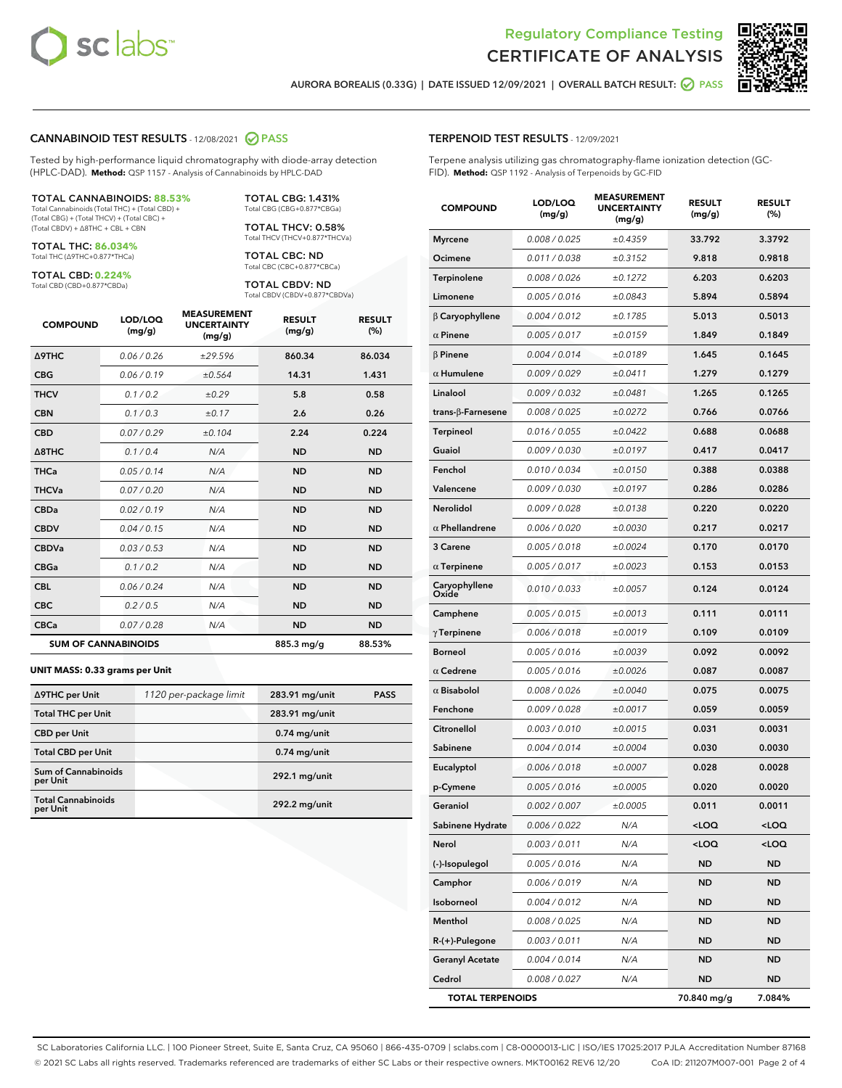



AURORA BOREALIS (0.33G) | DATE ISSUED 12/09/2021 | OVERALL BATCH RESULT: 2 PASS

#### CANNABINOID TEST RESULTS - 12/08/2021 2 PASS

Tested by high-performance liquid chromatography with diode-array detection (HPLC-DAD). **Method:** QSP 1157 - Analysis of Cannabinoids by HPLC-DAD

#### TOTAL CANNABINOIDS: **88.53%**

Total Cannabinoids (Total THC) + (Total CBD) + (Total CBG) + (Total THCV) + (Total CBC) + (Total CBDV) + ∆8THC + CBL + CBN

TOTAL THC: **86.034%** Total THC (∆9THC+0.877\*THCa)

TOTAL CBD: **0.224%**

Total CBD (CBD+0.877\*CBDa)

TOTAL CBG: 1.431% Total CBG (CBG+0.877\*CBGa)

TOTAL THCV: 0.58% Total THCV (THCV+0.877\*THCVa)

TOTAL CBC: ND Total CBC (CBC+0.877\*CBCa)

TOTAL CBDV: ND Total CBDV (CBDV+0.877\*CBDVa)

| <b>COMPOUND</b>  | LOD/LOQ<br>(mg/g)          | <b>MEASUREMENT</b><br><b>UNCERTAINTY</b><br>(mg/g) | <b>RESULT</b><br>(mg/g) | <b>RESULT</b><br>(%) |
|------------------|----------------------------|----------------------------------------------------|-------------------------|----------------------|
| Δ9THC            | 0.06/0.26                  | ±29.596                                            | 860.34                  | 86.034               |
| <b>CBG</b>       | 0.06/0.19                  | ±0.564                                             | 14.31                   | 1.431                |
| <b>THCV</b>      | 0.1/0.2                    | ±0.29                                              | 5.8                     | 0.58                 |
| <b>CBN</b>       | 0.1/0.3                    | ±0.17                                              | 2.6                     | 0.26                 |
| <b>CBD</b>       | 0.07/0.29                  | ±0.104                                             | 2.24                    | 0.224                |
| $\triangle$ 8THC | 0.1 / 0.4                  | N/A                                                | <b>ND</b>               | <b>ND</b>            |
| <b>THCa</b>      | 0.05 / 0.14                | N/A                                                | <b>ND</b>               | <b>ND</b>            |
| <b>THCVa</b>     | 0.07/0.20                  | N/A                                                | <b>ND</b>               | <b>ND</b>            |
| <b>CBDa</b>      | 0.02/0.19                  | N/A                                                | <b>ND</b>               | <b>ND</b>            |
| <b>CBDV</b>      | 0.04 / 0.15                | N/A                                                | <b>ND</b>               | <b>ND</b>            |
| <b>CBDVa</b>     | 0.03/0.53                  | N/A                                                | <b>ND</b>               | <b>ND</b>            |
| <b>CBGa</b>      | 0.1/0.2                    | N/A                                                | <b>ND</b>               | <b>ND</b>            |
| <b>CBL</b>       | 0.06 / 0.24                | N/A                                                | <b>ND</b>               | <b>ND</b>            |
| <b>CBC</b>       | 0.2 / 0.5                  | N/A                                                | <b>ND</b>               | <b>ND</b>            |
| <b>CBCa</b>      | 0.07/0.28                  | N/A                                                | <b>ND</b>               | <b>ND</b>            |
|                  | <b>SUM OF CANNABINOIDS</b> |                                                    | 885.3 mg/g              | 88.53%               |

#### **UNIT MASS: 0.33 grams per Unit**

| ∆9THC per Unit                        | 1120 per-package limit | 283.91 mg/unit  | <b>PASS</b> |
|---------------------------------------|------------------------|-----------------|-------------|
| <b>Total THC per Unit</b>             |                        | 283.91 mg/unit  |             |
| <b>CBD</b> per Unit                   |                        | $0.74$ mg/unit  |             |
| <b>Total CBD per Unit</b>             |                        | $0.74$ mg/unit  |             |
| Sum of Cannabinoids<br>per Unit       |                        | 292.1 mg/unit   |             |
| <b>Total Cannabinoids</b><br>per Unit |                        | $292.2$ mg/unit |             |

#### TERPENOID TEST RESULTS - 12/09/2021

Terpene analysis utilizing gas chromatography-flame ionization detection (GC-FID). **Method:** QSP 1192 - Analysis of Terpenoids by GC-FID

| <b>COMPOUND</b>           | LOD/LOQ<br>(mg/g) | <b>MEASUREMENT</b><br><b>UNCERTAINTY</b><br>(mg/g) | <b>RESULT</b><br>(mg/g)                         | <b>RESULT</b><br>(%) |
|---------------------------|-------------------|----------------------------------------------------|-------------------------------------------------|----------------------|
| <b>Myrcene</b>            | 0.008 / 0.025     | ±0.4359                                            | 33.792                                          | 3.3792               |
| Ocimene                   | 0.011 / 0.038     | ±0.3152                                            | 9.818                                           | 0.9818               |
| <b>Terpinolene</b>        | 0.008 / 0.026     | ±0.1272                                            | 6.203                                           | 0.6203               |
| Limonene                  | 0.005 / 0.016     | ±0.0843                                            | 5.894                                           | 0.5894               |
| $\beta$ Caryophyllene     | 0.004 / 0.012     | ±0.1785                                            | 5.013                                           | 0.5013               |
| $\alpha$ Pinene           | 0.005 / 0.017     | ±0.0159                                            | 1.849                                           | 0.1849               |
| $\beta$ Pinene            | 0.004 / 0.014     | ±0.0189                                            | 1.645                                           | 0.1645               |
| $\alpha$ Humulene         | 0.009 / 0.029     | ±0.0411                                            | 1.279                                           | 0.1279               |
| Linalool                  | 0.009 / 0.032     | ±0.0481                                            | 1.265                                           | 0.1265               |
| trans- $\beta$ -Farnesene | 0.008 / 0.025     | ±0.0272                                            | 0.766                                           | 0.0766               |
| Terpineol                 | 0.016 / 0.055     | ±0.0422                                            | 0.688                                           | 0.0688               |
| Guaiol                    | 0.009 / 0.030     | ±0.0197                                            | 0.417                                           | 0.0417               |
| Fenchol                   | 0.010 / 0.034     | ±0.0150                                            | 0.388                                           | 0.0388               |
| Valencene                 | 0.009 / 0.030     | ±0.0197                                            | 0.286                                           | 0.0286               |
| <b>Nerolidol</b>          | 0.009 / 0.028     | ±0.0138                                            | 0.220                                           | 0.0220               |
| $\alpha$ Phellandrene     | 0.006 / 0.020     | ±0.0030                                            | 0.217                                           | 0.0217               |
| 3 Carene                  | 0.005 / 0.018     | ±0.0024                                            | 0.170                                           | 0.0170               |
| $\alpha$ Terpinene        | 0.005 / 0.017     | ±0.0023                                            | 0.153                                           | 0.0153               |
| Caryophyllene<br>Oxide    | 0.010/0.033       | ±0.0057                                            | 0.124                                           | 0.0124               |
| Camphene                  | 0.005 / 0.015     | ±0.0013                                            | 0.111                                           | 0.0111               |
| $\gamma$ Terpinene        | 0.006 / 0.018     | ±0.0019                                            | 0.109                                           | 0.0109               |
| <b>Borneol</b>            | 0.005 / 0.016     | ±0.0039                                            | 0.092                                           | 0.0092               |
| $\alpha$ Cedrene          | 0.005 / 0.016     | ±0.0026                                            | 0.087                                           | 0.0087               |
| $\alpha$ Bisabolol        | 0.008 / 0.026     | ±0.0040                                            | 0.075                                           | 0.0075               |
| Fenchone                  | 0.009 / 0.028     | ±0.0017                                            | 0.059                                           | 0.0059               |
| Citronellol               | 0.003 / 0.010     | ±0.0015                                            | 0.031                                           | 0.0031               |
| Sabinene                  | 0.004 / 0.014     | ±0.0004                                            | 0.030                                           | 0.0030               |
| Eucalyptol                | 0.006 / 0.018     | ±0.0007                                            | 0.028                                           | 0.0028               |
| p-Cymene                  | 0.005 / 0.016     | ±0.0005                                            | 0.020                                           | 0.0020               |
| Geraniol                  | 0.002 / 0.007     | ±0.0005                                            | 0.011                                           | 0.0011               |
| Sabinene Hydrate          | 0.006 / 0.022     | N/A                                                | <loq< th=""><th><loq< th=""></loq<></th></loq<> | <loq< th=""></loq<>  |
| Nerol                     | 0.003 / 0.011     | N/A                                                | 100                                             | <loq< th=""></loq<>  |
| (-)-Isopulegol            | 0.005 / 0.016     | N/A                                                | <b>ND</b>                                       | ND                   |
| Camphor                   | 0.006 / 0.019     | N/A                                                | ND                                              | ND                   |
| Isoborneol                | 0.004 / 0.012     | N/A                                                | ND                                              | ND                   |
| Menthol                   | 0.008 / 0.025     | N/A                                                | ND                                              | ND                   |
| $R-(+)$ -Pulegone         | 0.003 / 0.011     | N/A                                                | <b>ND</b>                                       | ND                   |
| <b>Geranyl Acetate</b>    | 0.004 / 0.014     | N/A                                                | ND                                              | ND                   |
| Cedrol                    | 0.008 / 0.027     | N/A                                                | <b>ND</b>                                       | ND                   |
| <b>TOTAL TERPENOIDS</b>   |                   |                                                    | 70.840 mg/g                                     | 7.084%               |

SC Laboratories California LLC. | 100 Pioneer Street, Suite E, Santa Cruz, CA 95060 | 866-435-0709 | sclabs.com | C8-0000013-LIC | ISO/IES 17025:2017 PJLA Accreditation Number 87168 © 2021 SC Labs all rights reserved. Trademarks referenced are trademarks of either SC Labs or their respective owners. MKT00162 REV6 12/20 CoA ID: 211207M007-001 Page 2 of 4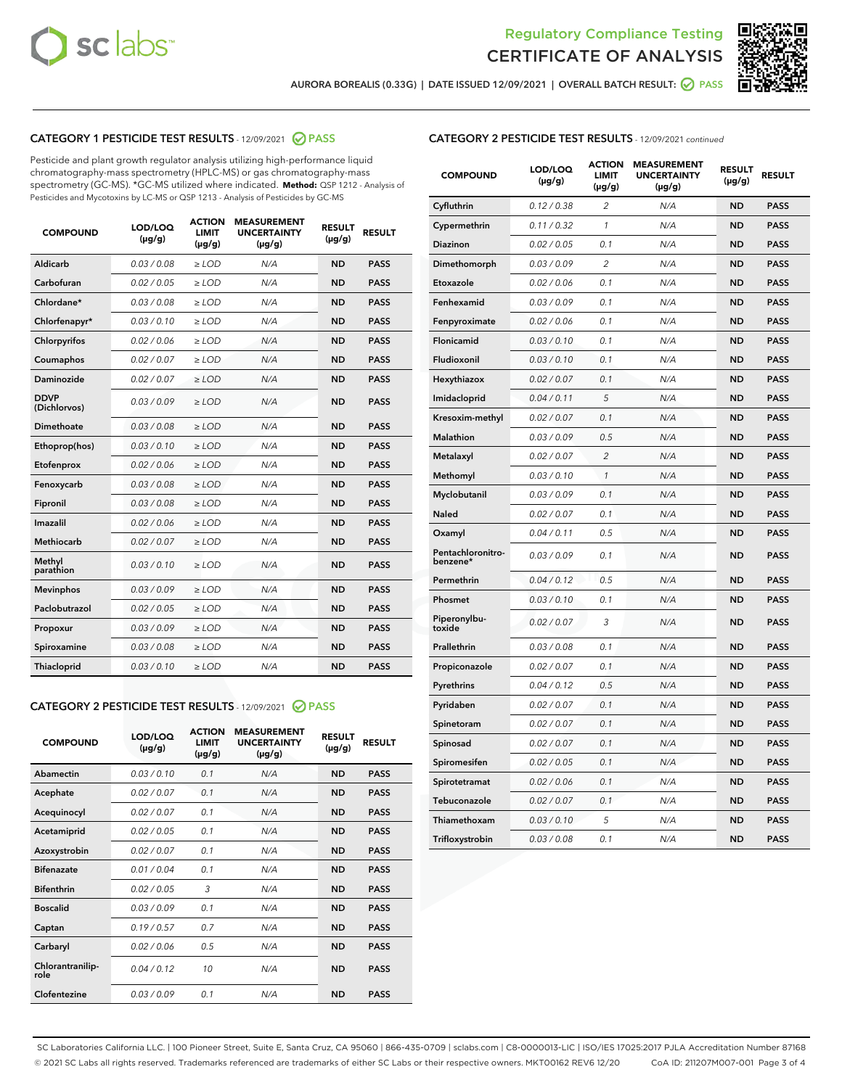



AURORA BOREALIS (0.33G) | DATE ISSUED 12/09/2021 | OVERALL BATCH RESULT: @ PASS

# CATEGORY 1 PESTICIDE TEST RESULTS - 12/09/2021 @ PASS

Pesticide and plant growth regulator analysis utilizing high-performance liquid chromatography-mass spectrometry (HPLC-MS) or gas chromatography-mass spectrometry (GC-MS). \*GC-MS utilized where indicated. **Method:** QSP 1212 - Analysis of Pesticides and Mycotoxins by LC-MS or QSP 1213 - Analysis of Pesticides by GC-MS

| <b>COMPOUND</b>             | LOD/LOQ<br>$(\mu g/g)$ | <b>ACTION</b><br><b>LIMIT</b><br>$(\mu g/g)$ | <b>MEASUREMENT</b><br><b>UNCERTAINTY</b><br>$(\mu g/g)$ | <b>RESULT</b><br>$(\mu g/g)$ | <b>RESULT</b> |
|-----------------------------|------------------------|----------------------------------------------|---------------------------------------------------------|------------------------------|---------------|
| Aldicarb                    | 0.03/0.08              | $\ge$ LOD                                    | N/A                                                     | <b>ND</b>                    | <b>PASS</b>   |
| Carbofuran                  | 0.02 / 0.05            | $\geq$ LOD                                   | N/A                                                     | <b>ND</b>                    | <b>PASS</b>   |
| Chlordane*                  | 0.03 / 0.08            | $\ge$ LOD                                    | N/A                                                     | <b>ND</b>                    | <b>PASS</b>   |
| Chlorfenapyr*               | 0.03/0.10              | $\geq$ LOD                                   | N/A                                                     | <b>ND</b>                    | <b>PASS</b>   |
| Chlorpyrifos                | 0.02 / 0.06            | $\geq$ LOD                                   | N/A                                                     | <b>ND</b>                    | <b>PASS</b>   |
| Coumaphos                   | 0.02 / 0.07            | $\ge$ LOD                                    | N/A                                                     | <b>ND</b>                    | <b>PASS</b>   |
| Daminozide                  | 0.02 / 0.07            | $\ge$ LOD                                    | N/A                                                     | <b>ND</b>                    | <b>PASS</b>   |
| <b>DDVP</b><br>(Dichlorvos) | 0.03/0.09              | $>$ LOD                                      | N/A                                                     | <b>ND</b>                    | <b>PASS</b>   |
| Dimethoate                  | 0.03 / 0.08            | $\ge$ LOD                                    | N/A                                                     | <b>ND</b>                    | <b>PASS</b>   |
| Ethoprop(hos)               | 0.03/0.10              | $\ge$ LOD                                    | N/A                                                     | <b>ND</b>                    | <b>PASS</b>   |
| Etofenprox                  | 0.02/0.06              | $>$ LOD                                      | N/A                                                     | <b>ND</b>                    | <b>PASS</b>   |
| Fenoxycarb                  | 0.03/0.08              | $\ge$ LOD                                    | N/A                                                     | <b>ND</b>                    | <b>PASS</b>   |
| Fipronil                    | 0.03/0.08              | $>$ LOD                                      | N/A                                                     | <b>ND</b>                    | <b>PASS</b>   |
| Imazalil                    | 0.02 / 0.06            | $\ge$ LOD                                    | N/A                                                     | <b>ND</b>                    | <b>PASS</b>   |
| Methiocarb                  | 0.02 / 0.07            | $\ge$ LOD                                    | N/A                                                     | <b>ND</b>                    | <b>PASS</b>   |
| Methyl<br>parathion         | 0.03/0.10              | $>$ LOD                                      | N/A                                                     | <b>ND</b>                    | <b>PASS</b>   |
| <b>Mevinphos</b>            | 0.03/0.09              | $>$ LOD                                      | N/A                                                     | <b>ND</b>                    | <b>PASS</b>   |
| Paclobutrazol               | 0.02 / 0.05            | $\ge$ LOD                                    | N/A                                                     | <b>ND</b>                    | <b>PASS</b>   |
| Propoxur                    | 0.03/0.09              | $\ge$ LOD                                    | N/A                                                     | <b>ND</b>                    | <b>PASS</b>   |
| Spiroxamine                 | 0.03 / 0.08            | $\ge$ LOD                                    | N/A                                                     | <b>ND</b>                    | <b>PASS</b>   |
| Thiacloprid                 | 0.03/0.10              | $\ge$ LOD                                    | N/A                                                     | <b>ND</b>                    | <b>PASS</b>   |

#### CATEGORY 2 PESTICIDE TEST RESULTS - 12/09/2021 @ PASS

| <b>COMPOUND</b>          | LOD/LOO<br>$(\mu g/g)$ | <b>ACTION</b><br>LIMIT<br>$(\mu g/g)$ | <b>MEASUREMENT</b><br><b>UNCERTAINTY</b><br>$(\mu g/g)$ | <b>RESULT</b><br>$(\mu g/g)$ | <b>RESULT</b> |
|--------------------------|------------------------|---------------------------------------|---------------------------------------------------------|------------------------------|---------------|
| Abamectin                | 0.03/0.10              | 0.1                                   | N/A                                                     | <b>ND</b>                    | <b>PASS</b>   |
| Acephate                 | 0.02/0.07              | 0.1                                   | N/A                                                     | <b>ND</b>                    | <b>PASS</b>   |
| Acequinocyl              | 0.02/0.07              | 0.1                                   | N/A                                                     | <b>ND</b>                    | <b>PASS</b>   |
| Acetamiprid              | 0.02/0.05              | 0.1                                   | N/A                                                     | <b>ND</b>                    | <b>PASS</b>   |
| Azoxystrobin             | 0.02/0.07              | 0.1                                   | N/A                                                     | <b>ND</b>                    | <b>PASS</b>   |
| <b>Bifenazate</b>        | 0.01/0.04              | 0.1                                   | N/A                                                     | <b>ND</b>                    | <b>PASS</b>   |
| <b>Bifenthrin</b>        | 0.02 / 0.05            | 3                                     | N/A                                                     | <b>ND</b>                    | <b>PASS</b>   |
| <b>Boscalid</b>          | 0.03/0.09              | 0.1                                   | N/A                                                     | <b>ND</b>                    | <b>PASS</b>   |
| Captan                   | 0.19/0.57              | 0.7                                   | N/A                                                     | <b>ND</b>                    | <b>PASS</b>   |
| Carbaryl                 | 0.02/0.06              | 0.5                                   | N/A                                                     | <b>ND</b>                    | <b>PASS</b>   |
| Chlorantranilip-<br>role | 0.04/0.12              | 10                                    | N/A                                                     | <b>ND</b>                    | <b>PASS</b>   |
| Clofentezine             | 0.03/0.09              | 0.1                                   | N/A                                                     | <b>ND</b>                    | <b>PASS</b>   |

# CATEGORY 2 PESTICIDE TEST RESULTS - 12/09/2021 continued

| <b>COMPOUND</b>               | LOD/LOQ<br>(µg/g) | <b>ACTION</b><br><b>LIMIT</b><br>(µg/g) | <b>MEASUREMENT</b><br><b>UNCERTAINTY</b><br>$(\mu g/g)$ | <b>RESULT</b><br>(µg/g) | <b>RESULT</b> |
|-------------------------------|-------------------|-----------------------------------------|---------------------------------------------------------|-------------------------|---------------|
| Cyfluthrin                    | 0.12 / 0.38       | $\overline{c}$                          | N/A                                                     | <b>ND</b>               | <b>PASS</b>   |
| Cypermethrin                  | 0.11 / 0.32       | 1                                       | N/A                                                     | <b>ND</b>               | <b>PASS</b>   |
| Diazinon                      | 0.02 / 0.05       | 0.1                                     | N/A                                                     | <b>ND</b>               | <b>PASS</b>   |
| Dimethomorph                  | 0.03 / 0.09       | 2                                       | N/A                                                     | ND                      | <b>PASS</b>   |
| Etoxazole                     | 0.02 / 0.06       | 0.1                                     | N/A                                                     | <b>ND</b>               | <b>PASS</b>   |
| Fenhexamid                    | 0.03 / 0.09       | 0.1                                     | N/A                                                     | ND                      | <b>PASS</b>   |
| Fenpyroximate                 | 0.02 / 0.06       | 0.1                                     | N/A                                                     | <b>ND</b>               | <b>PASS</b>   |
| Flonicamid                    | 0.03 / 0.10       | 0.1                                     | N/A                                                     | ND                      | <b>PASS</b>   |
| Fludioxonil                   | 0.03 / 0.10       | 0.1                                     | N/A                                                     | <b>ND</b>               | <b>PASS</b>   |
| Hexythiazox                   | 0.02 / 0.07       | 0.1                                     | N/A                                                     | ND                      | <b>PASS</b>   |
| Imidacloprid                  | 0.04 / 0.11       | 5                                       | N/A                                                     | ND                      | <b>PASS</b>   |
| Kresoxim-methyl               | 0.02 / 0.07       | 0.1                                     | N/A                                                     | <b>ND</b>               | <b>PASS</b>   |
| <b>Malathion</b>              | 0.03 / 0.09       | 0.5                                     | N/A                                                     | ND                      | <b>PASS</b>   |
| Metalaxyl                     | 0.02 / 0.07       | $\overline{c}$                          | N/A                                                     | ND                      | <b>PASS</b>   |
| Methomyl                      | 0.03 / 0.10       | 1                                       | N/A                                                     | <b>ND</b>               | <b>PASS</b>   |
| Myclobutanil                  | 0.03 / 0.09       | 0.1                                     | N/A                                                     | ND                      | <b>PASS</b>   |
| Naled                         | 0.02 / 0.07       | 0.1                                     | N/A                                                     | ND                      | <b>PASS</b>   |
| Oxamyl                        | 0.04 / 0.11       | 0.5                                     | N/A                                                     | ND                      | <b>PASS</b>   |
| Pentachloronitro-<br>benzene* | 0.03 / 0.09       | 0.1                                     | N/A                                                     | ND                      | <b>PASS</b>   |
| Permethrin                    | 0.04 / 0.12       | 0.5                                     | N/A                                                     | <b>ND</b>               | <b>PASS</b>   |
| Phosmet                       | 0.03/0.10         | 0.1                                     | N/A                                                     | ND                      | <b>PASS</b>   |
| Piperonylbu-<br>toxide        | 0.02 / 0.07       | 3                                       | N/A                                                     | ND                      | <b>PASS</b>   |
| Prallethrin                   | 0.03 / 0.08       | 0.1                                     | N/A                                                     | <b>ND</b>               | <b>PASS</b>   |
| Propiconazole                 | 0.02 / 0.07       | 0.1                                     | N/A                                                     | ND                      | <b>PASS</b>   |
| Pyrethrins                    | 0.04 / 0.12       | 0.5                                     | N/A                                                     | ND                      | <b>PASS</b>   |
| Pyridaben                     | 0.02 / 0.07       | 0.1                                     | N/A                                                     | ND                      | <b>PASS</b>   |
| Spinetoram                    | 0.02 / 0.07       | 0.1                                     | N/A                                                     | ND                      | <b>PASS</b>   |
| Spinosad                      | 0.02 / 0.07       | 0.1                                     | N/A                                                     | ND                      | <b>PASS</b>   |
| Spiromesifen                  | 0.02 / 0.05       | 0.1                                     | N/A                                                     | ND                      | <b>PASS</b>   |
| Spirotetramat                 | 0.02 / 0.06       | 0.1                                     | N/A                                                     | ND                      | <b>PASS</b>   |
| Tebuconazole                  | 0.02 / 0.07       | 0.1                                     | N/A                                                     | ND                      | <b>PASS</b>   |
| Thiamethoxam                  | 0.03 / 0.10       | 5                                       | N/A                                                     | ND                      | <b>PASS</b>   |
| Trifloxystrobin               | 0.03 / 0.08       | 0.1                                     | N/A                                                     | <b>ND</b>               | <b>PASS</b>   |

SC Laboratories California LLC. | 100 Pioneer Street, Suite E, Santa Cruz, CA 95060 | 866-435-0709 | sclabs.com | C8-0000013-LIC | ISO/IES 17025:2017 PJLA Accreditation Number 87168 © 2021 SC Labs all rights reserved. Trademarks referenced are trademarks of either SC Labs or their respective owners. MKT00162 REV6 12/20 CoA ID: 211207M007-001 Page 3 of 4